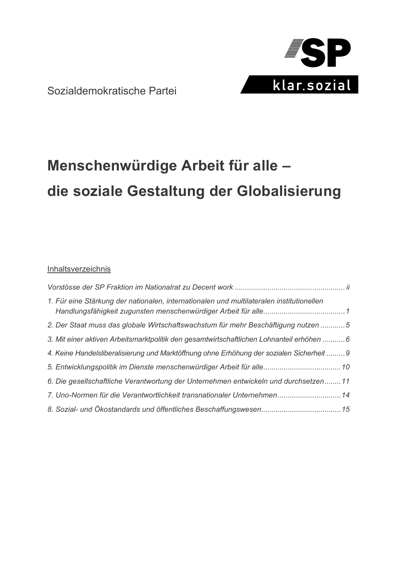

Sozialdemokratische Partei

# Menschenwürdige Arbeit für alle die soziale Gestaltung der Globalisierung

# Inhaltsverzeichnis

| 1. Für eine Stärkung der nationalen, internationalen und multilateralen institutionellen  |  |
|-------------------------------------------------------------------------------------------|--|
| 2. Der Staat muss das globale Wirtschaftswachstum für mehr Beschäftigung nutzen 5         |  |
| 3. Mit einer aktiven Arbeitsmarktpolitik den gesamtwirtschaftlichen Lohnanteil erhöhen  6 |  |
| 4. Keine Handelsliberalisierung und Marktöffnung ohne Erhöhung der sozialen Sicherheit  9 |  |
| 5. Entwicklungspolitik im Dienste menschenwürdiger Arbeit für alle 10                     |  |
| 6. Die gesellschaftliche Verantwortung der Unternehmen entwickeln und durchsetzen11       |  |
| 7. Uno-Normen für die Verantwortlichkeit transnationaler Unternehmen 14                   |  |
|                                                                                           |  |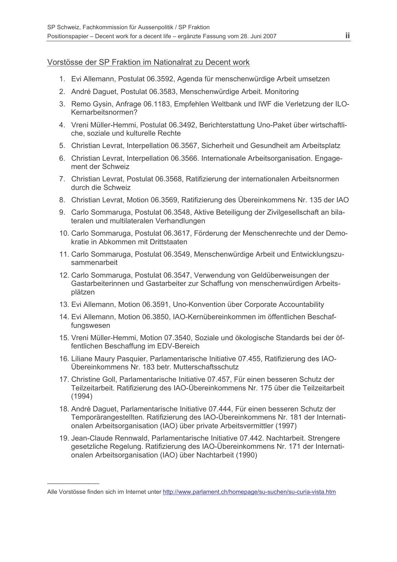## Vorstösse der SP Fraktion im Nationalrat zu Decent work

- 1. Evi Allemann, Postulat 06.3592, Agenda für menschenwürdige Arbeit umsetzen
- 2. André Daquet, Postulat 06.3583, Menschenwürdige Arbeit. Monitoring
- 3. Remo Gysin, Anfrage 06.1183, Empfehlen Weltbank und IWF die Verletzung der ILO-Kernarbeitsnormen?
- 4. Vreni Müller-Hemmi, Postulat 06.3492, Berichterstattung Uno-Paket über wirtschaftliche, soziale und kulturelle Rechte
- 5. Christian Levrat, Interpellation 06.3567, Sicherheit und Gesundheit am Arbeitsplatz
- 6. Christian Levrat, Interpellation 06.3566. Internationale Arbeitsorganisation. Engagement der Schweiz
- 7. Christian Levrat, Postulat 06.3568, Ratifizierung der internationalen Arbeitsnormen durch die Schweiz
- 8. Christian Levrat, Motion 06.3569, Ratifizierung des Übereinkommens Nr. 135 der IAO
- 9. Carlo Sommaruga, Postulat 06.3548, Aktive Beteiligung der Zivilgesellschaft an bilateralen und multilateralen Verhandlungen
- 10. Carlo Sommaruga, Postulat 06.3617. Förderung der Menschenrechte und der Demokratie in Abkommen mit Drittstaaten
- 11. Carlo Sommaruga, Postulat 06.3549, Menschenwürdige Arbeit und Entwicklungszusammenarbeit
- 12. Carlo Sommaruga, Postulat 06.3547, Verwendung von Geldüberweisungen der Gastarbeiterinnen und Gastarbeiter zur Schaffung von menschenwürdigen Arbeitsplätzen
- 13. Evi Allemann, Motion 06.3591, Uno-Konvention über Corporate Accountability
- 14. Evi Allemann, Motion 06.3850, IAO-Kernübereinkommen im öffentlichen Beschaffungswesen
- 15. Vreni Müller-Hemmi, Motion 07.3540, Soziale und ökologische Standards bei der öffentlichen Beschaffung im EDV-Bereich
- 16. Liliane Maury Pasquier, Parlamentarische Initiative 07.455, Ratifizierung des IAO-Übereinkommens Nr. 183 betr. Mutterschaftsschutz
- 17. Christine Goll, Parlamentarische Initiative 07.457, Für einen besseren Schutz der Teilzeitarbeit. Ratifizierung des IAO-Übereinkommens Nr. 175 über die Teilzeitarbeit  $(1994)$
- 18. André Daguet, Parlamentarische Initiative 07.444, Für einen besseren Schutz der Temporärangestellten. Ratifizierung des IAO-Übereinkommens Nr. 181 der Internationalen Arbeitsorganisation (IAO) über private Arbeitsvermittler (1997)
- 19. Jean-Claude Rennwald, Parlamentarische Initiative 07.442. Nachtarbeit. Strengere gesetzliche Regelung. Ratifizierung des IAO-Übereinkommens Nr. 171 der Internationalen Arbeitsorganisation (IAO) über Nachtarbeit (1990)

Alle Vorstösse finden sich im Internet unter http://www.parlament.ch/homepage/su-suchen/su-curia-vista.htm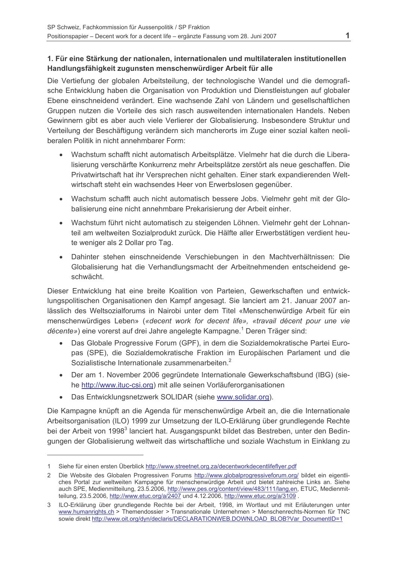## 1. Für eine Stärkung der nationalen, internationalen und multilateralen institutionellen Handlungsfähigkeit zugunsten menschenwürdiger Arbeit für alle

Die Vertiefung der globalen Arbeitsteilung, der technologische Wandel und die demografische Entwicklung haben die Organisation von Produktion und Dienstleistungen auf globaler Ebene einschneidend verändert. Eine wachsende Zahl von Ländern und gesellschaftlichen Gruppen nutzen die Vorteile des sich rasch ausweitenden internationalen Handels. Neben Gewinnern gibt es aber auch viele Verlierer der Globalisierung. Insbesondere Struktur und Verteilung der Beschäftigung verändern sich mancherorts im Zuge einer sozial kalten neoliberalen Politik in nicht annehmbarer Form:

- Wachstum schafft nicht automatisch Arbeitsplätze. Vielmehr hat die durch die Liberalisierung verschärfte Konkurrenz mehr Arbeitsplätze zerstört als neue geschaffen. Die Privatwirtschaft hat ihr Versprechen nicht gehalten. Einer stark expandierenden Weltwirtschaft steht ein wachsendes Heer von Erwerbslosen gegenüber.
- Wachstum schafft auch nicht automatisch bessere Jobs. Vielmehr geht mit der Globalisierung eine nicht annehmbare Prekarisierung der Arbeit einher.
- Wachstum führt nicht automatisch zu steigenden Löhnen. Vielmehr geht der Lohnanteil am weltweiten Sozialprodukt zurück. Die Hälfte aller Erwerbstätigen verdient heute weniger als 2 Dollar pro Tag.
- Dahinter stehen einschneidende Verschiebungen in den Machtverhältnissen: Die Globalisierung hat die Verhandlungsmacht der Arbeitnehmenden entscheidend geschwächt.

Dieser Entwicklung hat eine breite Koalition von Parteien. Gewerkschaften und entwick-Jungspolitischen Organisationen den Kampf angesagt. Sie Janciert am 21. Januar 2007 anlässlich des Weltsozialforums in Nairobi unter dem Titel «Menschenwürdige Arbeit für ein menschenwürdiges Leben» («decent work for decent life», «travail décent pour une vie décente») eine vorerst auf drei Jahre angelegte Kampagne.<sup>1</sup> Deren Träger sind:

- Das Globale Progressive Forum (GPF), in dem die Sozialdemokratische Partei Europas (SPE), die Sozialdemokratische Fraktion im Europäischen Parlament und die Sozialistische Internationale zusammenarbeiten.<sup>2</sup>
- Der am 1. November 2006 gegründete Internationale Gewerkschaftsbund (IBG) (siehe http://www.ituc-csi.org) mit alle seinen Vorläuferorganisationen
- $\bullet$ Das Entwicklungsnetzwerk SOLIDAR (siehe www.solidar.org).

Die Kampagne knüpft an die Agenda für menschenwürdige Arbeit an, die die Internationale Arbeitsorganisation (ILO) 1999 zur Umsetzung der ILO-Erklärung über grundlegende Rechte bei der Arbeit von 1998<sup>3</sup> lanciert hat. Ausgangspunkt bildet das Bestreben, unter den Bedingungen der Globalisierung weltweit das wirtschaftliche und soziale Wachstum in Einklang zu

<sup>1</sup> Siehe für einen ersten Überblick http://www.streetnet.org.za/decentworkdecentlifeflyer.pdf

<sup>2</sup> Die Website des Globalen Progressiven Forums http://www.globalprogressiveforum.org/ bildet ein eigentliches Portal zur weltweiten Kampagne für menschenwürdige Arbeit und bietet zahlreiche Links an. Siehe auch SPE, Medienmitteilung, 23.5.2006, http://www.pes.org/content/view/483/111/lang.en, ETUC, Medienmitteilung, 23.5.2006, http://www.etuc.org/a/2407 und 4.12.2006, http://www.etuc.org/a/3109.

<sup>3</sup> ILO-Erklärung über grundlegende Rechte bei der Arbeit, 1998, im Wortlaut und mit Erläuterungen unter www.humanrights.ch > Themendossier > Transnationale Unternehmen > Menschenrechts-Normen für TNC sowie direkt http://www.oit.org/dyn/declaris/DECLARATIONWEB.DOWNLOAD BLOB?Var DocumentID=1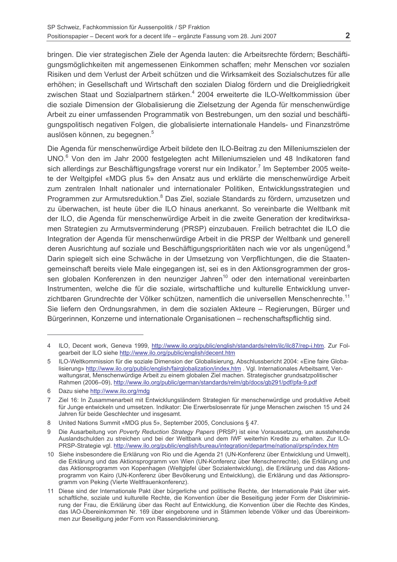bringen. Die vier strategischen Ziele der Agenda lauten: die Arbeitsrechte fördern; Beschäftigungsmöglichkeiten mit angemessenen Einkommen schaffen; mehr Menschen vor sozialen Risiken und dem Verlust der Arbeit schützen und die Wirksamkeit des Sozialschutzes für alle erhöhen; in Gesellschaft und Wirtschaft den sozialen Dialog fördern und die Dreigliedrigkeit zwischen Staat und Sozialpartnern stärken.<sup>4</sup> 2004 erweiterte die ILO-Weltkommission über die soziale Dimension der Globalisierung die Zielsetzung der Agenda für menschenwürdige Arbeit zu einer umfassenden Programmatik von Bestrebungen, um den sozial und beschäftigungspolitisch negativen Folgen, die globalisierte internationale Handels- und Finanzströme auslösen können, zu begegnen.<sup>5</sup>

Die Agenda für menschenwürdige Arbeit bildete den ILO-Beitrag zu den Milleniumszielen der UNO.<sup>6</sup> Von den im Jahr 2000 festgelegten acht Milleniumszielen und 48 Indikatoren fand sich allerdings zur Beschäftigungsfrage vorerst nur ein Indikator.<sup>7</sup> Im September 2005 weitete der Weltgipfel «MDG plus 5» den Ansatz aus und erklärte die menschenwürdige Arbeit zum zentralen Inhalt nationaler und internationaler Politiken. Entwicklungsstrategien und Programmen zur Armutsreduktion.<sup>8</sup> Das Ziel, soziale Standards zu fördern, umzusetzen und zu überwachen, ist heute über die ILO hinaus anerkannt. So vereinbarte die Weltbank mit der ILO, die Agenda für menschenwürdige Arbeit in die zweite Generation der kreditwirksamen Strategien zu Armutsverminderung (PRSP) einzubauen. Freilich betrachtet die ILO die Integration der Agenda für menschenwürdige Arbeit in die PRSP der Weltbank und generell deren Ausrichtung auf soziale und Beschäftigungsprioritäten nach wie vor als ungenügend.<sup>9</sup> Darin spiegelt sich eine Schwäche in der Umsetzung von Verpflichtungen, die die Staatengemeinschaft bereits viele Male eingegangen ist, sei es in den Aktionsgrogrammen der grossen globalen Konferenzen in den neunziger Jahren<sup>10</sup> oder den international vereinbarten Instrumenten, welche die für die soziale, wirtschaftliche und kulturelle Entwicklung unverzichtbaren Grundrechte der Völker schützen, namentlich die universellen Menschenrechte.<sup>11</sup> Sie liefern den Ordnungsrahmen, in dem die sozialen Akteure – Regierungen, Bürger und Bürgerinnen, Konzerne und internationale Organisationen – rechenschaftspflichtig sind.

<sup>4</sup> ILO, Decent work, Geneva 1999, http://www.ilo.org/public/english/standards/relm/ilc/ilc87/rep-i.htm. Zur Folgearbeit der ILO siehe http://www.ilo.org/public/english/decent.htm

<sup>5</sup> ILO-Weltkommission für die soziale Dimension der Globalisierung, Abschlussbericht 2004: «Eine faire Globalisierung» http://www.ilo.org/public/english/fairglobalization/index.htm . Vgl. Internationales Arbeitsamt, Verwaltungsrat, Menschenwürdige Arbeit zu einem globalen Ziel machen. Strategischer grundsatzpolitischer Rahmen (2006–09), http://www.ilo.org/public/german/standards/relm/gb/docs/gb291/pdf/pfa-9.pdf

<sup>6</sup> Dazu siehe http://www.ilo.org/mdg

 $\overline{7}$ Ziel 16: In Zusammenarbeit mit Entwicklungsländern Strategien für menschenwürdige und produktive Arbeit für Junge entwickeln und umsetzen. Indikator: Die Erwerbslosenrate für junge Menschen zwischen 15 und 24 Jahren für beide Geschlechter und insgesamt.

<sup>8</sup> United Nations Summit «MDG plus 5», September 2005, Conclusions § 47.

Die Ausarbeitung von Poverty Reduction Strategy Papers (PRSP) ist eine Voraussetzung, um ausstehende  $\Omega$ Auslandschulden zu streichen und bei der Weltbank und dem IWF weiterhin Kredite zu erhalten. Zur ILO-PRSP-Strategie vgl. http://www.ilo.org/public/english/bureau/integration/departme/national/prsp/index.htm

<sup>10</sup> Siehe insbesondere die Erklärung von Rio und die Agenda 21 (UN-Konferenz über Entwicklung und Umwelt), die Erklärung und das Aktionsprogramm von Wien (UN-Konferenz über Menschenrechte), die Erklärung und das Aktionsprogramm von Kopenhagen (Weltgipfel über Sozialentwicklung), die Erklärung und das Aktionsprogramm von Kairo (UN-Konferenz über Bevölkerung und Entwicklung), die Erklärung und das Aktionsprogramm von Peking (Vierte Weltfrauenkonferenz).

<sup>11</sup> Diese sind der Internationale Pakt über bürgerliche und politische Rechte, der Internationale Pakt über wirtschaftliche, soziale und kulturelle Rechte, die Konvention über die Beseitigung jeder Form der Diskriminierung der Frau, die Erklärung über das Recht auf Entwicklung, die Konvention über die Rechte des Kindes, das IAO-Übereinkommen Nr. 169 über eingeborene und in Stämmen lebende Völker und das Übereinkommen zur Beseitigung jeder Form von Rassendiskriminierung.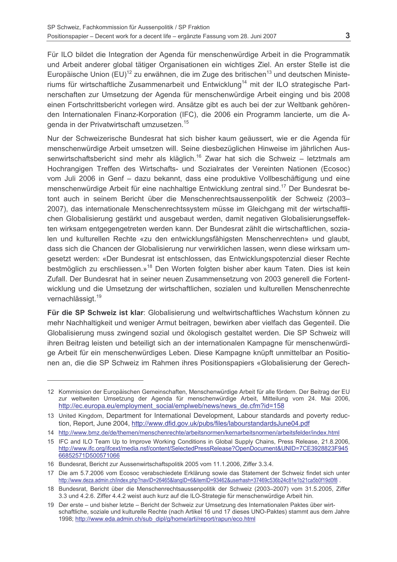Für ILO bildet die Integration der Agenda für menschenwürdige Arbeit in die Programmatik und Arbeit anderer global tätiger Organisationen ein wichtiges Ziel. An erster Stelle ist die Europäische Union (EU)<sup>12</sup> zu erwähnen, die im Zuge des britischen<sup>13</sup> und deutschen Ministeriums für wirtschaftliche Zusammenarbeit und Entwicklung<sup>14</sup> mit der ILO strategische Partnerschaften zur Umsetzung der Agenda für menschenwürdige Arbeit einging und bis 2008 einen Fortschrittsbericht vorlegen wird. Ansätze gibt es auch bei der zur Weltbank gehörenden Internationalen Finanz-Korporation (IFC), die 2006 ein Programm lancierte, um die Agenda in der Privatwirtschaft umzusetzen.<sup>15</sup>

Nur der Schweizerische Bundesrat hat sich bisher kaum geäussert, wie er die Agenda für menschenwürdige Arbeit umsetzen will. Seine diesbezüglichen Hinweise im jährlichen Aussenwirtschaftsbericht sind mehr als kläglich.<sup>16</sup> Zwar hat sich die Schweiz – letztmals am Hochrangigen Treffen des Wirtschafts- und Sozialrates der Vereinten Nationen (Ecosoc) vom Juli 2006 in Genf - dazu bekannt, dass eine produktive Vollbeschäftigung und eine menschenwürdige Arbeit für eine nachhaltige Entwicklung zentral sind.<sup>17</sup> Der Bundesrat betont auch in seinem Bericht über die Menschenrechtsaussenpolitik der Schweiz (2003-2007), das internationale Menschenrechtssystem müsse im Gleichgang mit der wirtschaftlichen Globalisierung gestärkt und ausgebaut werden, damit negativen Globalisierungseffekten wirksam entgegengetreten werden kann. Der Bundesrat zählt die wirtschaftlichen, sozialen und kulturellen Rechte «zu den entwicklungsfähigsten Menschenrechten» und glaubt. dass sich die Chancen der Globalisierung nur verwirklichen lassen, wenn diese wirksam umgesetzt werden: «Der Bundesrat ist entschlossen, das Entwicklungspotenzial dieser Rechte bestmöglich zu erschliessen.»<sup>18</sup> Den Worten folgten bisher aber kaum Taten. Dies ist kein Zufall. Der Bundesrat hat in seiner neuen Zusammensetzung von 2003 generell die Fortentwicklung und die Umsetzung der wirtschaftlichen, sozialen und kulturellen Menschenrechte vernachlässigt.<sup>19</sup>

Für die SP Schweiz ist klar: Globalisierung und weltwirtschaftliches Wachstum können zu mehr Nachhaltigkeit und weniger Armut beitragen, bewirken aber vielfach das Gegenteil. Die Globalisierung muss zwingend sozial und ökologisch gestaltet werden. Die SP Schweiz will ihren Beitrag leisten und beteiligt sich an der internationalen Kampagne für menschenwürdige Arbeit für ein menschenwürdiges Leben. Diese Kampagne knüpft unmittelbar an Positionen an. die die SP Schweiz im Rahmen ihres Positionspapiers «Globalisierung der Gerech-

<sup>12</sup> Kommission der Europäischen Gemeinschaften. Menschenwürdige Arbeit für alle fördern. Der Beitrag der EU zur weltweiten Umsetzung der Agenda für menschenwürdige Arbeit, Mitteilung vom 24. Mai 2006, http://ec.europa.eu/employment\_social/emplweb/news/news\_de.cfm?id=158

<sup>13</sup> United Kingdom, Department for International Development, Labour standards and poverty reduction, Report, June 2004, http://www.dfid.gov.uk/pubs/files/labourstandardsJune04.pdf

<sup>14</sup> http://www.bmz.de/de/themen/menschenrechte/arbeitsnormen/kernarbeitsnormen/arbeitsfelder/index.html

<sup>15</sup> IFC and ILO Team Up to Improve Working Conditions in Global Supply Chains, Press Release, 21.8.2006, http://www.ifc.org/ifcext/media.nsf/content/SelectedPressRelease?OpenDocument&UNID=7CE3928823F945 66852571D500571066

<sup>16</sup> Bundesrat, Bericht zur Aussenwirtschaftspolitik 2005 vom 11.1.2006, Ziffer 3.3.4.

<sup>17</sup> Die am 5.7.2006 vom Ecosoc verabschiedete Erklärung sowie das Statement der Schweiz findet sich unter http://www.deza.admin.ch/index.php?navID=26465&langID=6&itemID=93462&userhash=37469c536b24c81e1b21ca5b0f19d0f8.

<sup>18</sup> Bundesrat. Bericht über die Menschenrechtsaussenpolitik der Schweiz (2003–2007) vom 31.5.2005. Ziffer 3.3 und 4.2.6. Ziffer 4.4.2 weist auch kurz auf die ILO-Strategie für menschenwürdige Arbeit hin.

<sup>19</sup> Der erste - und bisher letzte - Bericht der Schweiz zur Umsetzung des Internationalen Paktes über wirtschaftliche, soziale und kulturelle Rechte (nach Artikel 16 und 17 dieses UNO-Paktes) stammt aus dem Jahre 1998; http://www.eda.admin.ch/sub\_dipl/g/home/arti/report/rapun/eco.html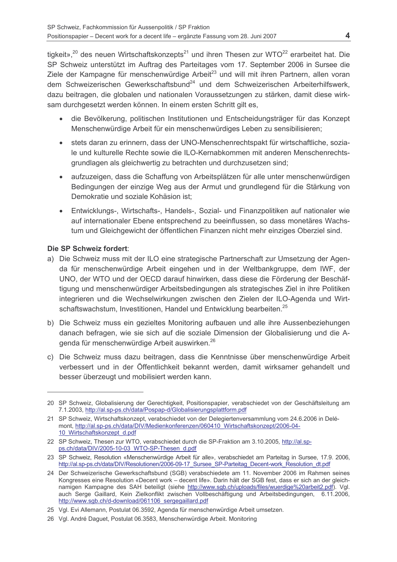tigkeit»,<sup>20</sup> des neuen Wirtschaftskonzepts<sup>21</sup> und ihren Thesen zur WTO<sup>22</sup> erarbeitet hat. Die SP Schweiz unterstützt im Auftrag des Parteitages vom 17. September 2006 in Sursee die Ziele der Kampagne für menschenwürdige Arbeit<sup>23</sup> und will mit ihren Partnern, allen voran dem Schweizerischen Gewerkschaftsbund<sup>24</sup> und dem Schweizerischen Arbeiterhilfswerk, dazu beitragen, die globalen und nationalen Voraussetzungen zu stärken, damit diese wirksam durchgesetzt werden können. In einem ersten Schritt gilt es,

- die Bevölkerung, politischen Institutionen und Entscheidungsträger für das Konzept Menschenwürdige Arbeit für ein menschenwürdiges Leben zu sensibilisieren;
- $\bullet$ stets daran zu erinnern, dass der UNO-Menschenrechtspakt für wirtschaftliche, soziale und kulturelle Rechte sowie die ILO-Kernabkommen mit anderen Menschenrechtsgrundlagen als gleichwertig zu betrachten und durchzusetzen sind;
- aufzuzeigen, dass die Schaffung von Arbeitsplätzen für alle unter menschenwürdigen Bedingungen der einzige Weg aus der Armut und grundlegend für die Stärkung von Demokratie und soziale Kohäsion ist:
- Entwicklungs-, Wirtschafts-, Handels-, Sozial- und Finanzpolitiken auf nationaler wie auf internationaler Ebene entsprechend zu beeinflussen, so dass monetäres Wachstum und Gleichgewicht der öffentlichen Finanzen nicht mehr einziges Oberziel sind.

## Die SP Schweiz fordert:

- a) Die Schweiz muss mit der ILO eine strategische Partnerschaft zur Umsetzung der Agenda für menschenwürdige Arbeit eingehen und in der Weltbankgruppe, dem IWF, der UNO, der WTO und der OECD darauf hinwirken, dass diese die Förderung der Beschäftigung und menschenwürdiger Arbeitsbedingungen als strategisches Ziel in ihre Politiken integrieren und die Wechselwirkungen zwischen den Zielen der ILO-Agenda und Wirtschaftswachstum. Investitionen. Handel und Entwicklung bearbeiten.<sup>25</sup>
- b) Die Schweiz muss ein gezieltes Monitoring aufbauen und alle ihre Aussenbeziehungen danach befragen, wie sie sich auf die soziale Dimension der Globalisierung und die Agenda für menschenwürdige Arbeit auswirken.<sup>26</sup>
- c) Die Schweiz muss dazu beitragen, dass die Kenntnisse über menschenwürdige Arbeit verbessert und in der Öffentlichkeit bekannt werden, damit wirksamer gehandelt und besser überzeugt und mobilisiert werden kann.

<sup>20</sup> SP Schweiz, Globalisierung der Gerechtigkeit, Positionspapier, verabschiedet von der Geschäftsleitung am 7.1.2003, http://al.sp-ps.ch/data/Pospap-d/Globalisierungsplattform.pdf

<sup>21</sup> SP Schweiz, Wirtschaftskonzept, verabschiedet von der Delegiertenversammlung vom 24.6.2006 in Delémont, http://al.sp-ps.ch/data/DIV/Medienkonferenzen/060410 Wirtschaftskonzept/2006-04-10 Wirtschaftskonzept d.pdf

<sup>22</sup> SP Schweiz, Thesen zur WTO, verabschiedet durch die SP-Fraktion am 3.10.2005, http://al.spps.ch/data/DIV/2005-10-03 WTO-SP-Thesen d.pdf

<sup>23</sup> SP Schweiz. Resolution «Menschenwürdige Arbeit für alle», verabschiedet am Parteitag in Sursee, 17.9, 2006. http://al.sp-ps.ch/data/DIV/Resolutionen/2006-09-17 Sursee SP-Parteitag Decent-work Resolution dt.pdf

<sup>24</sup> Der Schweizerische Gewerkschaftsbund (SGB) verabschiedete am 11. November 2006 im Rahmen seines Kongresses eine Resolution «Decent work - decent life». Darin hält der SGB fest, dass er sich an der gleichnamigen Kampagne des SAH beteiligt (siehe http://www.sgb.ch/uploads/files/wuerdige%20arbeit2.pdf). Vgl. auch Serge Gaillard, Kein Zielkonflikt zwischen Vollbeschäftigung und Arbeitsbedingungen, 6.11.2006, http://www.sgb.ch/d-download/061106 sergegaillard.pdf

<sup>25</sup> Vgl. Evi Allemann, Postulat 06.3592, Agenda für menschenwürdige Arbeit umsetzen.

<sup>26</sup> Vgl. André Daguet, Postulat 06.3583, Menschenwürdige Arbeit. Monitoring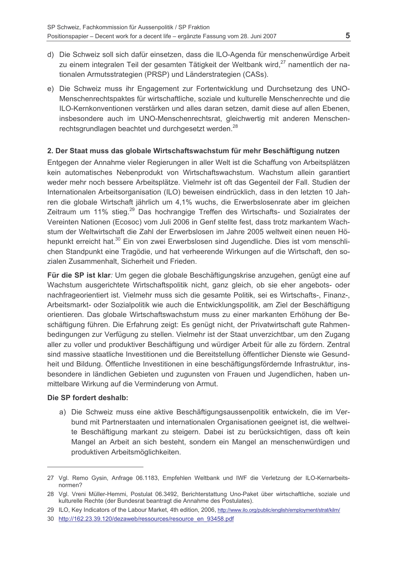- d) Die Schweiz soll sich dafür einsetzen, dass die ILO-Agenda für menschenwürdige Arbeit zu einem integralen Teil der gesamten Tätigkeit der Weltbank wird.<sup>27</sup> namentlich der nationalen Armutsstrategien (PRSP) und Länderstrategien (CASs).
- e) Die Schweiz muss ihr Engagement zur Fortentwicklung und Durchsetzung des UNO-Menschenrechtspaktes für wirtschaftliche, soziale und kulturelle Menschenrechte und die ILO-Kernkonventionen verstärken und alles daran setzen, damit diese auf allen Ebenen. insbesondere auch im UNO-Menschenrechtsrat, gleichwertig mit anderen Menschenrechtsgrundlagen beachtet und durchgesetzt werden.<sup>28</sup>

#### 2. Der Staat muss das globale Wirtschaftswachstum für mehr Beschäftigung nutzen

Entgegen der Annahme vieler Regierungen in aller Welt ist die Schaffung von Arbeitsplätzen kein automatisches Nebenprodukt von Wirtschaftswachstum. Wachstum allein garantiert weder mehr noch bessere Arbeitsplätze. Vielmehr ist oft das Gegenteil der Fall. Studien der Internationalen Arbeitsorganisation (ILO) beweisen eindrücklich, dass in den letzten 10 Jahren die globale Wirtschaft jährlich um 4.1% wuchs, die Erwerbslosenrate aber im gleichen Zeitraum um 11% stieg.<sup>29</sup> Das hochrangige Treffen des Wirtschafts- und Sozialrates der Vereinten Nationen (Ecosoc) vom Juli 2006 in Genf stellte fest, dass trotz markantem Wachstum der Weltwirtschaft die Zahl der Erwerbslosen im Jahre 2005 weltweit einen neuen Höhepunkt erreicht hat.<sup>30</sup> Ein von zwei Erwerbslosen sind Jugendliche. Dies ist vom menschlichen Standpunkt eine Tragödie, und hat verheerende Wirkungen auf die Wirtschaft, den sozialen Zusammenhalt, Sicherheit und Frieden.

Für die SP ist klar: Um gegen die globale Beschäftigungskrise anzugehen, genügt eine auf Wachstum ausgerichtete Wirtschaftspolitik nicht, ganz gleich, ob sie eher angebots- oder nachfrageorientiert ist. Vielmehr muss sich die gesamte Politik, sei es Wirtschafts-, Finanz-, Arbeitsmarkt- oder Sozialpolitik wie auch die Entwicklungspolitik, am Ziel der Beschäftigung orientieren. Das globale Wirtschaftswachstum muss zu einer markanten Erhöhung der Beschäftigung führen. Die Erfahrung zeigt: Es genügt nicht, der Privatwirtschaft gute Rahmenbedingungen zur Verfügung zu stellen. Vielmehr ist der Staat unverzichtbar, um den Zugang aller zu voller und produktiver Beschäftigung und würdiger Arbeit für alle zu fördern. Zentral sind massive staatliche Investitionen und die Bereitstellung öffentlicher Dienste wie Gesundheit und Bildung. Öffentliche Investitionen in eine beschäftigungsfördernde Infrastruktur, insbesondere in ländlichen Gebieten und zugunsten von Frauen und Jugendlichen, haben unmittelbare Wirkung auf die Verminderung von Armut.

#### Die SP fordert deshalb:

a) Die Schweiz muss eine aktive Beschäftigungsaussenpolitik entwickeln, die im Verbund mit Partnerstaaten und internationalen Organisationen geeignet ist, die weltweite Beschäftigung markant zu steigern. Dabei ist zu berücksichtigen, dass oft kein Mangel an Arbeit an sich besteht, sondern ein Mangel an menschenwürdigen und produktiven Arbeitsmöglichkeiten.

<sup>27</sup> Vgl. Remo Gysin, Anfrage 06.1183, Empfehlen Weltbank und IWF die Verletzung der ILO-Kernarbeitsnormen?

<sup>28</sup> Val. Vreni Müller-Hemmi. Postulat 06.3492. Berichterstattung Uno-Paket über wirtschaftliche, soziale und kulturelle Rechte (der Bundesrat beantragt die Annahme des Postulates).

<sup>29</sup> ILO, Key Indicators of the Labour Market, 4th edition, 2006, http://www.ilo.org/public/english/employment/strat/kilm/

<sup>30</sup> http://162.23.39.120/dezaweb/ressources/resource en 93458.pdf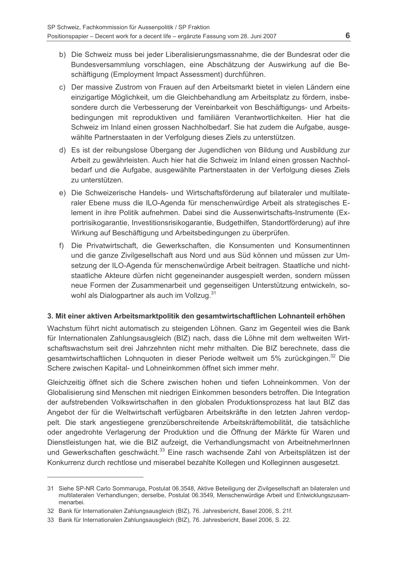- b) Die Schweiz muss bei jeder Liberalisierungsmassnahme, die der Bundesrat oder die Bundesversammlung vorschlagen, eine Abschätzung der Auswirkung auf die Beschäftigung (Employment Impact Assessment) durchführen.
- c) Der massive Zustrom von Frauen auf den Arbeitsmarkt bietet in vielen Ländern eine einzigartige Möglichkeit, um die Gleichbehandlung am Arbeitsplatz zu fördern, insbesondere durch die Verbesserung der Vereinbarkeit von Beschäftigungs- und Arbeitsbedingungen mit reproduktiven und familiären Verantwortlichkeiten. Hier hat die Schweiz im Inland einen grossen Nachholbedarf. Sie hat zudem die Aufgabe, ausgewählte Partnerstaaten in der Verfolgung dieses Ziels zu unterstützen.
- d) Es ist der reibungslose Übergang der Jugendlichen von Bildung und Ausbildung zur Arbeit zu gewährleisten. Auch hier hat die Schweiz im Inland einen grossen Nachholbedarf und die Aufgabe, ausgewählte Partnerstaaten in der Verfolgung dieses Ziels zu unterstützen
- e) Die Schweizerische Handels- und Wirtschaftsförderung auf bilateraler und multilateraler Ebene muss die ILO-Agenda für menschenwürdige Arbeit als strategisches Element in ihre Politik aufnehmen. Dabei sind die Aussenwirtschafts-Instrumente (Exportrisikogarantie, Investitionsrisikogarantie, Budgethilfen, Standortförderung) auf ihre Wirkung auf Beschäftigung und Arbeitsbedingungen zu überprüfen.
- f) Die Privatwirtschaft, die Gewerkschaften, die Konsumenten und Konsumentinnen und die ganze Zivilgesellschaft aus Nord und aus Süd können und müssen zur Umsetzung der ILO-Agenda für menschenwürdige Arbeit beitragen. Staatliche und nichtstaatliche Akteure dürfen nicht gegeneinander ausgespielt werden, sondern müssen neue Formen der Zusammenarbeit und gegenseitigen Unterstützung entwickeln, sowohl als Dialogpartner als auch im Vollzug.<sup>31</sup>

## 3. Mit einer aktiven Arbeitsmarktpolitik den gesamtwirtschaftlichen Lohnanteil erhöhen

Wachstum führt nicht automatisch zu steigenden Löhnen. Ganz im Gegenteil wies die Bank für Internationalen Zahlungsausgleich (BIZ) nach, dass die Löhne mit dem weltweiten Wirtschaftswachstum seit drei Jahrzehnten nicht mehr mithalten. Die BIZ berechnete, dass die gesamtwirtschaftlichen Lohnquoten in dieser Periode weltweit um 5% zurückgingen.<sup>32</sup> Die Schere zwischen Kapital- und Lohneinkommen öffnet sich immer mehr.

Gleichzeitig öffnet sich die Schere zwischen hohen und tiefen Lohneinkommen. Von der Globalisierung sind Menschen mit niedrigen Einkommen besonders betroffen. Die Integration der aufstrebenden Volkswirtschaften in den globalen Produktionsprozess hat laut BIZ das Angebot der für die Weltwirtschaft verfügbaren Arbeitskräfte in den letzten Jahren verdoppelt. Die stark angestiegene grenzüberschreitende Arbeitskräftemobilität, die tatsächliche oder angedrohte Verlagerung der Produktion und die Öffnung der Märkte für Waren und Dienstleistungen hat, wie die BIZ aufzeigt, die Verhandlungsmacht von ArbeitnehmerInnen und Gewerkschaften geschwächt.<sup>33</sup> Eine rasch wachsende Zahl von Arbeitsplätzen ist der Konkurrenz durch rechtlose und miserabel bezahlte Kollegen und Kolleginnen ausgesetzt.

<sup>31</sup> Siehe SP-NR Carlo Sommaruga. Postulat 06.3548. Aktive Beteiligung der Zivilgesellschaft an bilateralen und multilateralen Verhandlungen; derselbe, Postulat 06.3549, Menschenwürdige Arbeit und Entwicklungszusammenarhei

<sup>32</sup> Bank für Internationalen Zahlungsausgleich (BIZ), 76. Jahresbericht, Basel 2006, S. 21f.

<sup>33</sup> Bank für Internationalen Zahlungsausgleich (BIZ), 76. Jahresbericht, Basel 2006, S. 22.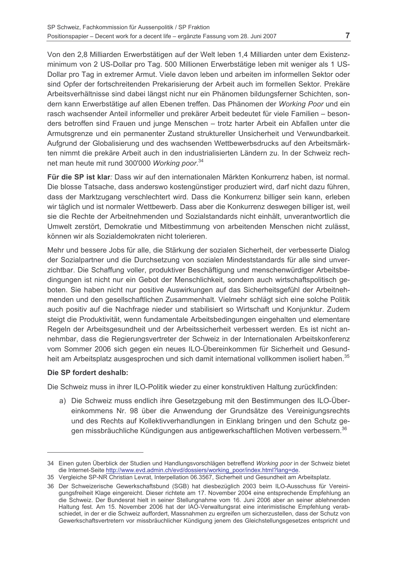Von den 2,8 Milliarden Erwerbstätigen auf der Welt leben 1,4 Milliarden unter dem Existenzminimum von 2 US-Dollar pro Tag. 500 Millionen Erwerbstätige leben mit weniger als 1 US-Dollar pro Tag in extremer Armut. Viele davon leben und arbeiten im informellen Sektor oder sind Opfer der fortschreitenden Prekarisierung der Arbeit auch im formellen Sektor. Prekäre Arbeitsverhältnisse sind dabei längst nicht nur ein Phänomen bildungsferner Schichten, sondern kann Erwerbstätige auf allen Ebenen treffen. Das Phänomen der Working Poor und ein rasch wachsender Anteil informeller und prekärer Arbeit bedeutet für viele Familien – besonders betroffen sind Frauen und junge Menschen - trotz harter Arbeit ein Abfallen unter die Armutsgrenze und ein permanenter Zustand struktureller Unsicherheit und Verwundbarkeit. Aufgrund der Globalisierung und des wachsenden Wettbewerbsdrucks auf den Arbeitsmärkten nimmt die prekäre Arbeit auch in den industrialisierten Ländern zu. In der Schweiz rechnet man heute mit rund 300'000 Working poor.<sup>34</sup>

Für die SP ist klar: Dass wir auf den internationalen Märkten Konkurrenz haben, ist normal. Die blosse Tatsache, dass anderswo kostengünstiger produziert wird, darf nicht dazu führen. dass der Marktzugang verschlechtert wird. Dass die Konkurrenz billiger sein kann, erleben wir täglich und ist normaler Wettbewerb. Dass aber die Konkurrenz deswegen billiger ist, weil sie die Rechte der Arbeitnehmenden und Sozialstandards nicht einhält, unverantwortlich die Umwelt zerstört, Demokratie und Mitbestimmung von arbeitenden Menschen nicht zulässt, können wir als Sozialdemokraten nicht tolerieren.

Mehr und bessere Jobs für alle, die Stärkung der sozialen Sicherheit, der verbesserte Dialog der Sozialpartner und die Durchsetzung von sozialen Mindeststandards für alle sind unverzichtbar. Die Schaffung voller, produktiver Beschäftigung und menschenwürdiger Arbeitsbedingungen ist nicht nur ein Gebot der Menschlichkeit, sondern auch wirtschaftspolitisch geboten. Sie haben nicht nur positive Auswirkungen auf das Sicherheitsgefühl der Arbeitnehmenden und den gesellschaftlichen Zusammenhalt. Vielmehr schlägt sich eine solche Politik auch positiv auf die Nachfrage nieder und stabilisiert so Wirtschaft und Konjunktur. Zudem steigt die Produktivität, wenn fundamentale Arbeitsbedingungen eingehalten und elementare Regeln der Arbeitsgesundheit und der Arbeitssicherheit verbessert werden. Es ist nicht annehmbar, dass die Regierungsvertreter der Schweiz in der Internationalen Arbeitskonferenz vom Sommer 2006 sich gegen ein neues ILO-Übereinkommen für Sicherheit und Gesundheit am Arbeitsplatz ausgesprochen und sich damit international vollkommen isoliert haben.<sup>35</sup>

## Die SP fordert deshalb:

Die Schweiz muss in ihrer ILO-Politik wieder zu einer konstruktiven Haltung zurückfinden:

a) Die Schweiz muss endlich ihre Gesetzgebung mit den Bestimmungen des ILO-Übereinkommens Nr. 98 über die Anwendung der Grundsätze des Vereinigungsrechts und des Rechts auf Kollektivverhandlungen in Einklang bringen und den Schutz gegen missbräuchliche Kündigungen aus antigewerkschaftlichen Motiven verbessern.<sup>36</sup>

<sup>34</sup> Einen guten Überblick der Studien und Handlungsvorschlägen betreffend Working poor in der Schweiz bietet die Internet-Seite http://www.evd.admin.ch/evd/dossiers/working\_poor/index.html?lang=de.

<sup>35</sup> Vergleiche SP-NR Christian Levrat, Interpellation 06.3567, Sicherheit und Gesundheit am Arbeitsplatz.

<sup>36</sup> Der Schweizerische Gewerkschaftsbund (SGB) hat diesbezüglich 2003 beim ILO-Ausschuss für Vereinigungsfreiheit Klage eingereicht. Dieser richtete am 17. November 2004 eine entsprechende Empfehlung an die Schweiz. Der Bundesrat hielt in seiner Stellungnahme vom 16. Juni 2006 aber an seiner ablehnenden Haltung fest. Am 15. November 2006 hat der IAO-Verwaltungsrat eine interimistische Empfehlung verabschiedet, in der er die Schweiz auffordert, Massnahmen zu ergreifen um sicherzustellen, dass der Schutz von Gewerkschaftsvertretern vor missbräuchlicher Kündigung jenem des Gleichstellungsgesetzes entspricht und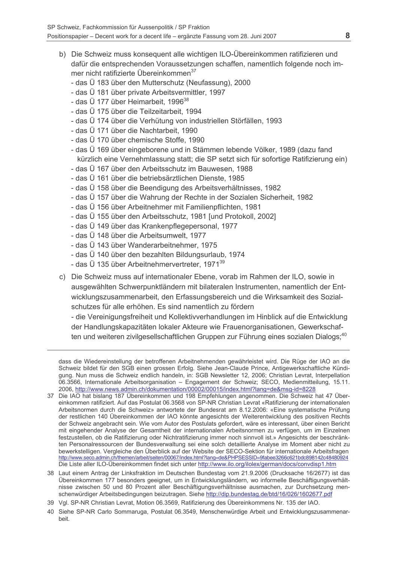- b) Die Schweiz muss konsequent alle wichtigen ILO-Übereinkommen ratifizieren und dafür die entsprechenden Voraussetzungen schaffen, namentlich folgende noch immer nicht ratifizierte Übereinkommen<sup>37</sup>
	- das Ü 183 über den Mutterschutz (Neufassung), 2000
	- das Ü 181 über private Arbeitsvermittler, 1997
	- das  $\ddot{\mathrm{U}}$  177 über Heimarbeit, 1996<sup>38</sup>
	- das Ü 175 über die Teilzeitarbeit, 1994
	- das Ü 174 über die Verhütung von industriellen Störfällen, 1993
	- das Ü 171 über die Nachtarbeit, 1990
	- das Ü 170 über chemische Stoffe, 1990
	- das Ü 169 über eingeborene und in Stämmen lebende Völker, 1989 (dazu fand kürzlich eine Vernehmlassung statt: die SP setzt sich für sofortige Ratifizierung ein)
	- das Ü 167 über den Arbeitsschutz im Bauwesen, 1988
	- das Ü 161 über die betriebsärztlichen Dienste, 1985
	- das Ü 158 über die Beendigung des Arbeitsverhältnisses, 1982
	- das Ü 157 über die Wahrung der Rechte in der Sozialen Sicherheit, 1982
	- das Ü 156 über Arbeitnehmer mit Familienpflichten, 1981
	- das Ü 155 über den Arbeitsschutz, 1981 [und Protokoll, 2002]
	- das Ü 149 über das Krankenpflegepersonal, 1977
	- das Ü 148 über die Arbeitsumwelt, 1977
	- das Ü 143 über Wanderarbeitnehmer. 1975
	- das Ü 140 über den bezahlten Bildungsurlaub, 1974
	- das Ü 135 über Arbeitnehmervertreter, 1971<sup>39</sup>
- c) Die Schweiz muss auf internationaler Ebene, vorab im Rahmen der ILO, sowie in ausgewählten Schwerpunktländern mit bilateralen Instrumenten, namentlich der Entwicklungszusammenarbeit, den Erfassungsbereich und die Wirksamkeit des Sozialschutzes für alle erhöhen. Es sind namentlich zu fördern

- die Vereinigungsfreiheit und Kollektivverhandlungen im Hinblick auf die Entwicklung der Handlungskapazitäten lokaler Akteure wie Frauenorganisationen. Gewerkschaften und weiteren zivilgesellschaftlichen Gruppen zur Führung eines sozialen Dialogs:<sup>40</sup>

dass die Wiedereinstellung der betroffenen Arbeitnehmenden gewährleistet wird. Die Rüge der IAO an die Schweiz bildet für den SGB einen grossen Erfolg. Siehe Jean-Claude Prince, Antigewerkschaftliche Kündigung. Nun muss die Schweiz endlich handeln, in: SGB Newsletter 12, 2006; Christian Levrat, Interpellation 06.3566, Internationale Arbeitsorganisation - Engagement der Schweiz; SECO, Medienmitteilung, 15.11. 2006, http://www.news.admin.ch/dokumentation/00002/00015/index.html?lang=de&msg-id=8228

- 37 Die IAO hat bislang 187 Übereinkommen und 198 Empfehlungen angenommen. Die Schweiz hat 47 Übereinkommen ratifiziert. Auf das Postulat 06.3568 von SP-NR Christian Levrat «Ratifizierung der internationalen Arbeitsnormen durch die Schweiz» antwortete der Bundesrat am 8.12.2006: «Eine systematische Prüfung der restlichen 140 Übereinkommen der IAO könnte angesichts der Weiterentwicklung des positiven Rechts der Schweiz angebracht sein. Wie vom Autor des Postulats gefordert, wäre es interessant, über einen Bericht mit eingehender Analyse der Gesamtheit der internationalen Arbeitsnormen zu verfügen, um im Einzelnen festzustellen, ob die Ratifizierung oder Nichtratifizierung immer noch sinnvoll ist.» Angesichts der beschränkten Personalressourcen der Bundesverwaltung sei eine solch detaillierte Analyse im Moment aber nicht zu bewerkstelligen. Vergleiche den Überblick auf der Website der SECO-Sektion für internationale Arbeitsfragen http://www.seco.admin.ch/themen/arbeit/seiten/00067/index.html?lang=de&PHPSESSID=9fabee3266c621bdc898142c48480924 Die Liste aller ILO-Übereinkommen findet sich unter http://www.ilo.org/ilolex/german/docs/convdisp1.htm
- 38 Laut einem Antrag der Linksfraktion im Deutschen Bundestag vom 21.9.2006 (Drucksache 16/2677) ist das Übereinkommen 177 besonders geeignet, um in Entwicklungsländern, wo informelle Beschäftigungsverhältnisse zwischen 50 und 80 Prozent aller Beschäftigungsverhältnisse ausmachen, zur Durchsetzung menschenwürdiger Arbeitsbedingungen beizutragen. Siehe http://dip.bundestag.de/btd/16/026/1602677.pdf
- 39 Vgl. SP-NR Christian Levrat, Motion 06.3569, Ratifizierung des Übereinkommens Nr. 135 der IAO.

<sup>40</sup> Siehe SP-NR Carlo Sommaruga, Postulat 06.3549, Menschenwürdige Arbeit und Entwicklungszusammenarbeit.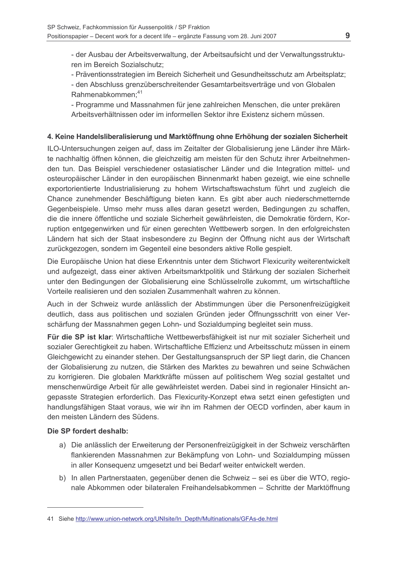- der Ausbau der Arbeitsverwaltung, der Arbeitsaufsicht und der Verwaltungsstrukturen im Bereich Sozialschutz:

- Präventionsstrategien im Bereich Sicherheit und Gesundheitsschutz am Arbeitsplatz;

- den Abschluss grenzüberschreitender Gesamtarbeitsverträge und von Globalen Rahmenabkommen;<sup>41</sup>

- Programme und Massnahmen für jene zahlreichen Menschen, die unter prekären Arbeitsverhältnissen oder im informellen Sektor ihre Existenz sichern müssen

## 4. Keine Handelsliberalisierung und Marktöffnung ohne Erhöhung der sozialen Sicherheit

ILO-Untersuchungen zeigen auf, dass im Zeitalter der Globalisierung jene Länder ihre Märkte nachhaltig öffnen können, die gleichzeitig am meisten für den Schutz ihrer Arbeitnehmenden tun. Das Beispiel verschiedener ostasiatischer Länder und die Integration mittel- und osteuropäischer Länder in den europäischen Binnenmarkt haben gezeigt, wie eine schnelle exportorientierte Industrialisierung zu hohem Wirtschaftswachstum führt und zugleich die Chance zunehmender Beschäftigung bieten kann. Es gibt aber auch niederschmetternde Gegenbeispiele. Umso mehr muss alles daran gesetzt werden. Bedingungen zu schaffen. die die innere öffentliche und soziale Sicherheit gewährleisten, die Demokratie fördern. Korruption entgegenwirken und für einen gerechten Wettbewerb sorgen. In den erfolgreichsten Ländern hat sich der Staat insbesondere zu Beginn der Öffnung nicht aus der Wirtschaft zurückgezogen, sondern im Gegenteil eine besonders aktive Rolle gespielt.

Die Europäische Union hat diese Erkenntnis unter dem Stichwort Flexicurity weiterentwickelt und aufgezeigt, dass einer aktiven Arbeitsmarktpolitik und Stärkung der sozialen Sicherheit unter den Bedingungen der Globalisierung eine Schlüsselrolle zukommt, um wirtschaftliche Vorteile realisieren und den sozialen Zusammenhalt wahren zu können.

Auch in der Schweiz wurde anlässlich der Abstimmungen über die Personenfreizügigkeit deutlich, dass aus politischen und sozialen Gründen jeder Öffnungsschritt von einer Verschärfung der Massnahmen gegen Lohn- und Sozialdumping begleitet sein muss.

Für die SP ist klar: Wirtschaftliche Wettbewerbsfähigkeit ist nur mit sozialer Sicherheit und sozialer Gerechtigkeit zu haben. Wirtschaftliche Effizienz und Arbeitsschutz müssen in einem Gleichgewicht zu einander stehen. Der Gestaltungsanspruch der SP liegt darin, die Chancen der Globalisierung zu nutzen, die Stärken des Marktes zu bewahren und seine Schwächen zu korrigieren. Die globalen Marktkräfte müssen auf politischem Weg sozial gestaltet und menschenwürdige Arbeit für alle gewährleistet werden. Dabei sind in regionaler Hinsicht angepasste Strategien erforderlich. Das Flexicurity-Konzept etwa setzt einen gefestigten und handlungsfähigen Staat voraus, wie wir ihn im Rahmen der OECD vorfinden, aber kaum in den meisten Ländern des Südens

## Die SP fordert deshalb:

- a) Die anlässlich der Erweiterung der Personenfreizügigkeit in der Schweiz verschärften flankierenden Massnahmen zur Bekämpfung von Lohn- und Sozialdumping müssen in aller Konsequenz umgesetzt und bei Bedarf weiter entwickelt werden.
- b) In allen Partnerstaaten, gegenüber denen die Schweiz sei es über die WTO, regionale Abkommen oder bilateralen Freihandelsabkommen - Schritte der Marktöffnung

<sup>41</sup> Siehe http://www.union-network.org/UNIsite/In Depth/Multinationals/GFAs-de.html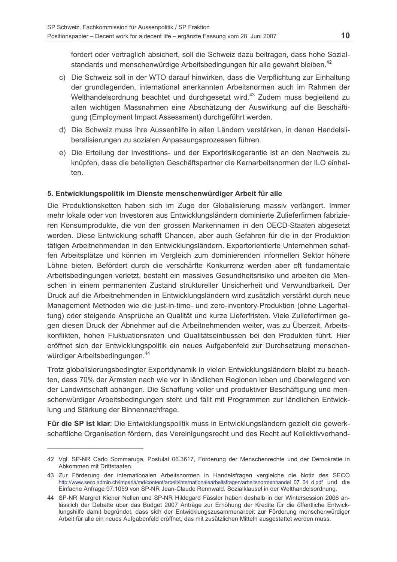fordert oder vertraglich absichert, soll die Schweiz dazu beitragen, dass hohe Sozialstandards und menschenwürdige Arbeitsbedingungen für alle gewahrt bleiben.<sup>42</sup>

- c) Die Schweiz soll in der WTO darauf hinwirken, dass die Verpflichtung zur Einhaltung der grundlegenden, international anerkannten Arbeitsnormen auch im Rahmen der Welthandelsordnung beachtet und durchgesetzt wird.<sup>43</sup> Zudem muss begleitend zu allen wichtigen Massnahmen eine Abschätzung der Auswirkung auf die Beschäftigung (Employment Impact Assessment) durchgeführt werden.
- d) Die Schweiz muss ihre Aussenhilfe in allen Ländern verstärken, in denen Handelsliberalisierungen zu sozialen Anpassungsprozessen führen.
- e) Die Erteilung der Investitions- und der Exportrisikogarantie ist an den Nachweis zu knüpfen, dass die beteiligten Geschäftspartner die Kernarbeitsnormen der ILO einhalten.

## 5. Entwicklungspolitik im Dienste menschenwürdiger Arbeit für alle

Die Produktionsketten haben sich im Zuge der Globalisierung massiv verlängert. Immer mehr lokale oder von Investoren aus Entwicklungsländern dominierte Zulieferfirmen fabrizieren Konsumprodukte, die von den grossen Markennamen in den OECD-Staaten abgesetzt werden. Diese Entwicklung schafft Chancen, aber auch Gefahren für die in der Produktion tätigen Arbeitnehmenden in den Entwicklungsländern. Exportorientierte Unternehmen schaffen Arbeitsplätze und können im Vergleich zum dominierenden informellen Sektor höhere Löhne bieten. Befördert durch die verschärfte Konkurrenz werden aber oft fundamentale Arbeitsbedingungen verletzt, besteht ein massives Gesundheitsrisiko und arbeiten die Menschen in einem permanenten Zustand struktureller Unsicherheit und Verwundbarkeit. Der Druck auf die Arbeitnehmenden in Entwicklungsländern wird zusätzlich verstärkt durch neue Management Methoden wie die just-in-time- und zero-inventory-Produktion (ohne Lagerhaltung) oder steigende Ansprüche an Qualität und kurze Lieferfristen. Viele Zulieferfirmen gegen diesen Druck der Abnehmer auf die Arbeitnehmenden weiter, was zu Überzeit, Arbeitskonflikten, hohen Fluktuationsraten und Qualitätseinbussen bei den Produkten führt. Hier eröffnet sich der Entwicklungspolitik ein neues Aufgabenfeld zur Durchsetzung menschenwürdiger Arbeitsbedingungen.<sup>44</sup>

Trotz globalisierungsbedingter Exportdynamik in vielen Entwicklungsländern bleibt zu beachten, dass 70% der Ärmsten nach wie vor in ländlichen Regionen leben und überwiegend von der Landwirtschaft abhängen. Die Schaffung voller und produktiver Beschäftigung und menschenwürdiger Arbeitsbedingungen steht und fällt mit Programmen zur ländlichen Entwicklung und Stärkung der Binnennachfrage.

Für die SP ist klar: Die Entwicklungspolitik muss in Entwicklungsländern gezielt die gewerkschaftliche Organisation fördern, das Vereinigungsrecht und des Recht auf Kollektivverhand-

<sup>42</sup> Vgl. SP-NR Carlo Sommaruga, Postulat 06.3617. Förderung der Menschenrechte und der Demokratie in Abkommen mit Drittstaaten.

<sup>43</sup> Zur Förderung der internationalen Arbeitsnormen in Handelsfragen vergleiche die Notiz des SECO http://www.seco.admin.ch/imperia/md/content/arbeit/internationalearbeitsfragen/arbeitsnormenhandel 07 04 d.pdf und die Einfache Anfrage 97.1059 von SP-NR Jean-Claude Rennwald. Sozialklausel in der Welthandelsordnung.

<sup>44</sup> SP-NR Margret Kiener Nellen und SP-NR Hildegard Fässler haben deshalb in der Wintersession 2006 anlässlich der Debatte über das Budget 2007 Anträge zur Erhöhung der Kredite für die öffentliche Entwicklungshilfe damit begründet, dass sich der Entwicklungszusammenarbeit zur Förderung menschenwürdiger Arbeit für alle ein neues Aufgabenfeld eröffnet, das mit zusätzlichen Mitteln ausgestattet werden muss.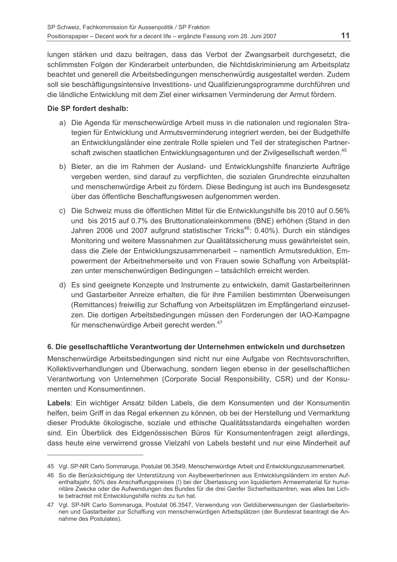lungen stärken und dazu beitragen, dass das Verbot der Zwangsarbeit durchgesetzt, die schlimmsten Folgen der Kinderarbeit unterbunden, die Nichtdiskriminierung am Arbeitsplatz beachtet und generell die Arbeitsbedingungen menschenwürdig ausgestaltet werden. Zudem soll sie beschäftigungsintensive Investitions- und Qualifizierungsprogramme durchführen und die ländliche Entwicklung mit dem Ziel einer wirksamen Verminderung der Armut fördern.

#### Die SP fordert deshalb:

- a) Die Agenda für menschenwürdige Arbeit muss in die nationalen und regionalen Strategien für Entwicklung und Armutsverminderung integriert werden, bei der Budgethilfe an Entwicklungsländer eine zentrale Rolle spielen und Teil der strategischen Partnerschaft zwischen staatlichen Entwicklungsagenturen und der Zivilgesellschaft werden.<sup>45</sup>
- b) Bieter, an die im Rahmen der Ausland- und Entwicklungshilfe finanzierte Aufträge vergeben werden, sind darauf zu verpflichten, die sozialen Grundrechte einzuhalten und menschenwürdige Arbeit zu fördern. Diese Bedingung ist auch ins Bundesgesetz über das öffentliche Beschaffungswesen aufgenommen werden.
- c) Die Schweiz muss die öffentlichen Mittel für die Entwicklungshilfe bis 2010 auf 0.56% und bis 2015 auf 0.7% des Bruttonationaleinkommens (BNE) erhöhen (Stand in den Jahren 2006 und 2007 aufgrund statistischer Tricks<sup>46</sup>: 0.40%). Durch ein ständiges Monitoring und weitere Massnahmen zur Qualitätssicherung muss gewährleistet sein. dass die Ziele der Entwicklungszusammenarbeit - namentlich Armutsreduktion, Empowerment der Arbeitnehmerseite und von Frauen sowie Schaffung von Arbeitsplätzen unter menschenwürdigen Bedingungen - tatsächlich erreicht werden.
- d) Es sind geeignete Konzepte und Instrumente zu entwickeln, damit Gastarbeiterinnen und Gastarbeiter Anreize erhalten, die für ihre Familien bestimmten Überweisungen (Remittances) freiwillig zur Schaffung von Arbeitsplätzen im Empfängerland einzusetzen. Die dortigen Arbeitsbedingungen müssen den Forderungen der IAO-Kampagne für menschenwürdige Arbeit gerecht werden.<sup>47</sup>

## 6. Die gesellschaftliche Verantwortung der Unternehmen entwickeln und durchsetzen

Menschenwürdige Arbeitsbedingungen sind nicht nur eine Aufgabe von Rechtsvorschriften. Kollektivverhandlungen und Überwachung, sondern liegen ebenso in der gesellschaftlichen Verantwortung von Unternehmen (Corporate Social Responsibility, CSR) und der Konsumenten und Konsumentinnen.

Labels: Ein wichtiger Ansatz bilden Labels, die dem Konsumenten und der Konsumentin helfen, beim Griff in das Regal erkennen zu können, ob bei der Herstellung und Vermarktung dieser Produkte ökologische, soziale und ethische Qualitätsstandards eingehalten worden sind. Ein Überblick des Eidgenössischen Büros für Konsumentenfragen zeigt allerdings, dass heute eine verwirrend grosse Vielzahl von Labels besteht und nur eine Minderheit auf

<sup>45</sup> Vgl. SP-NR Carlo Sommaruga, Postulat 06.3549, Menschenwürdige Arbeit und Entwicklungszusammenarbeit.

<sup>46</sup> So die Berücksichtigung der Unterstützung von AsylbewerberInnen aus Entwicklungsländern im ersten Aufenthaltsjahr, 50% des Anschaffungspreises (!) bei der Überlassung von liquidiertem Armeematerial für humanitäre Zwecke oder die Aufwendungen des Bundes für die drei Genfer Sicherheitszentren, was alles bei Lichte betrachtet mit Entwicklungshilfe nichts zu tun hat.

<sup>47</sup> Vgl. SP-NR Carlo Sommaruga, Postulat 06.3547, Verwendung von Geldüberweisungen der Gastarbeiterinnen und Gastarbeiter zur Schaffung von menschenwürdigen Arbeitsplätzen (der Bundesrat beantragt die Annahme des Postulates).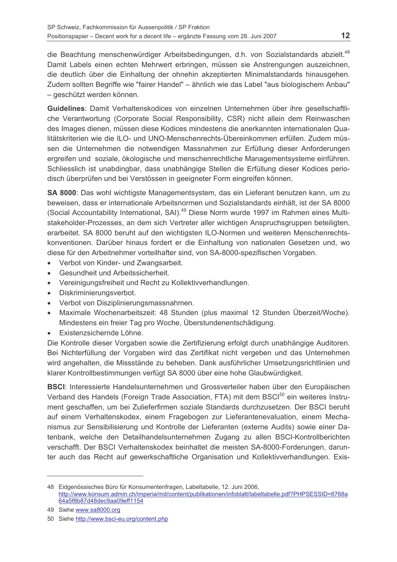die Beachtung menschenwürdiger Arbeitsbedingungen, d.h. von Sozialstandards abzielt.<sup>48</sup> Damit Labels einen echten Mehrwert erbringen, müssen sie Anstrengungen auszeichnen, die deutlich über die Einhaltung der ohnehin akzeptierten Minimalstandards hinausgehen. Zudem sollten Begriffe wie "fairer Handel" - ähnlich wie das Label "aus biologischem Anbau" - geschützt werden können.

Guidelines: Damit Verhaltenskodices von einzelnen Unternehmen über ihre gesellschaftliche Verantwortung (Corporate Social Responsibility, CSR) nicht allein dem Reinwaschen des Images dienen, müssen diese Kodices mindestens die anerkannten internationalen Qualitätskriterien wie die ILO- und UNO-Menschenrechts-Übereinkommen erfüllen. Zudem müssen die Unternehmen die notwendigen Massnahmen zur Erfüllung dieser Anforderungen ergreifen und soziale, ökologische und menschenrechtliche Managementsysteme einführen. Schliesslich ist unabdingbar, dass unabhängige Stellen die Erfüllung dieser Kodices periodisch überprüfen und bei Verstössen in geeigneter Form eingreifen können.

SA 8000: Das wohl wichtigste Managementsystem, das ein Lieferant benutzen kann, um zu beweisen, dass er internationale Arbeitsnormen und Sozialstandards einhält, ist der SA 8000 (Social Accountability International, SAI).<sup>49</sup> Diese Norm wurde 1997 im Rahmen eines Multistakeholder-Prozesses, an dem sich Vertreter aller wichtigen Anspruchsgruppen beteiligten, erarbeitet. SA 8000 beruht auf den wichtigsten ILO-Normen und weiteren Menschenrechtskonventionen. Darüber hinaus fordert er die Einhaltung von nationalen Gesetzen und, wo diese für den Arbeitnehmer vorteilhafter sind, von SA-8000-spezifischen Vorgaben.

- Verbot von Kinder- und Zwangsarbeit.  $\blacksquare$
- Gesundheit und Arbeitssicherheit.  $\bullet$
- Vereinigungsfreiheit und Recht zu Kollektivverhandlungen.
- Diskriminierungsverbot.
- Verbot von Disziplinierungsmassnahmen.  $\bullet$
- Maximale Wochenarbeitszeit: 48 Stunden (plus maximal 12 Stunden Überzeit/Woche). Mindestens ein freier Tag pro Woche, Überstundenentschädigung.
- · Existenzsichernde Löhne.

Die Kontrolle dieser Vorgaben sowie die Zertifizierung erfolgt durch unabhängige Auditoren. Bei Nichterfüllung der Vorgaben wird das Zertifikat nicht vergeben und das Unternehmen wird angehalten, die Missstände zu beheben. Dank ausführlicher Umsetzungsrichtlinien und klarer Kontrollbestimmungen verfügt SA 8000 über eine hohe Glaubwürdigkeit.

BSCI: Interessierte Handelsunternehmen und Grossverteiler haben über den Europäischen Verband des Handels (Foreign Trade Association, FTA) mit dem BSCI<sup>50</sup> ein weiteres Instrument geschaffen, um bei Zulieferfirmen soziale Standards durchzusetzen. Der BSCI beruht auf einem Verhaltenskodex, einem Fragebogen zur Lieferantenevaluation, einem Mechanismus zur Sensibilisierung und Kontrolle der Lieferanten (externe Audits) sowie einer Datenbank, welche den Detailhandelsunternehmen Zugang zu allen BSCI-Kontrollberichten verschafft. Der BSCI Verhaltenskodex beinhaltet die meisten SA-8000-Forderungen, darunter auch das Recht auf gewerkschaftliche Organisation und Kollektivverhandlungen. Exis-

<sup>48</sup> Eidgenössisches Büro für Konsumentenfragen, Labeltabelle, 12. Juni 2006. http://www.konsum.admin.ch/imperia/md/content/publikationen/infoblatt/labeltabelle.pdf?PHPSESSID=8768a 64a5f8b87d48dec9aa09eff1154

<sup>49</sup> Siehe www.sa8000.org

<sup>50</sup> Siehe http://www.bsci-eu.org/content.php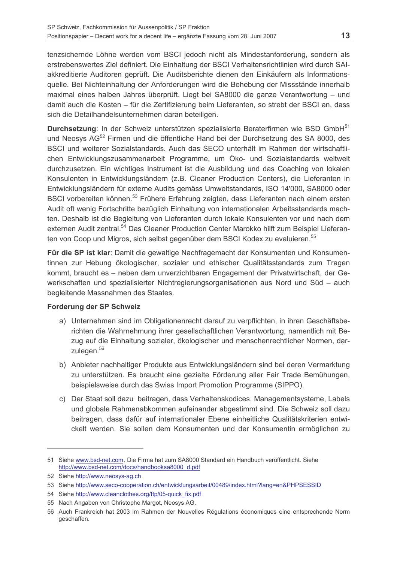tenzsichernde Löhne werden vom BSCI jedoch nicht als Mindestanforderung, sondern als erstrebenswertes Ziel definiert. Die Einhaltung der BSCI Verhaltensrichtlinien wird durch SAIakkreditierte Auditoren geprüft. Die Auditsberichte dienen den Einkäufern als Informationsguelle. Bei Nichteinhaltung der Anforderungen wird die Behebung der Missstände innerhalb maximal eines halben Jahres überprüft. Liegt bei SA8000 die ganze Verantwortung - und damit auch die Kosten – für die Zertifizierung beim Lieferanten, so strebt der BSCI an, dass sich die Detailhandelsunternehmen daran beteiligen.

Durchsetzung: In der Schweiz unterstützen spezialisierte Beraterfirmen wie BSD GmbH<sup>51</sup> und Neosys AG<sup>52</sup> Firmen und die öffentliche Hand bei der Durchsetzung des SA 8000, des BSCI und weiterer Sozialstandards. Auch das SECO unterhält im Rahmen der wirtschaftlichen Entwicklungszusammenarbeit Programme, um Öko- und Sozialstandards weltweit durchzusetzen. Ein wichtiges Instrument ist die Ausbildung und das Coaching von lokalen Konsulenten in Entwicklungsländern (z.B. Cleaner Production Centers), die Lieferanten in Entwicklungsländern für externe Audits gemäss Umweltstandards. ISO 14'000. SA8000 oder BSCI vorbereiten können.<sup>53</sup> Frühere Erfahrung zeigten, dass Lieferanten nach einem ersten Audit oft wenig Fortschritte bezüglich Einhaltung von internationalen Arbeitsstandards machten. Deshalb ist die Begleitung von Lieferanten durch lokale Konsulenten vor und nach dem externen Audit zentral.<sup>54</sup> Das Cleaner Production Center Marokko hilft zum Beispiel Lieferanten von Coop und Migros, sich selbst gegenüber dem BSCI Kodex zu evaluieren.<sup>55</sup>

Für die SP ist klar: Damit die gewaltige Nachfragemacht der Konsumenten und Konsumentinnen zur Hebung ökologischer, sozialer und ethischer Qualitätsstandards zum Tragen kommt, braucht es - neben dem unverzichtbaren Engagement der Privatwirtschaft, der Gewerkschaften und spezialisierter Nichtregierungsorganisationen aus Nord und Süd – auch begleitende Massnahmen des Staates.

## Forderung der SP Schweiz

- a) Unternehmen sind im Obligationenrecht darauf zu verpflichten, in ihren Geschäftsberichten die Wahrnehmung ihrer gesellschaftlichen Verantwortung, namentlich mit Bezug auf die Einhaltung sozialer, ökologischer und menschenrechtlicher Normen, darzulegen.<sup>56</sup>
- b) Anbieter nachhaltiger Produkte aus Entwicklungsländern sind bei deren Vermarktung zu unterstützen. Es braucht eine gezielte Förderung aller Fair Trade Bemühungen, beispielsweise durch das Swiss Import Promotion Programme (SIPPO).
- c) Der Staat soll dazu beitragen, dass Verhaltenskodices, Managementsysteme, Labels und globale Rahmenabkommen aufeinander abgestimmt sind. Die Schweiz soll dazu beitragen, dass dafür auf internationaler Ebene einheitliche Qualitätskriterien entwickelt werden. Sie sollen dem Konsumenten und der Konsumentin ermöglichen zu

<sup>51</sup> Siehe www.bsd-net.com. Die Firma hat zum SA8000 Standard ein Handbuch veröffentlicht. Siehe http://www.bsd-net.com/docs/handbooksa8000\_d.pdf

<sup>52</sup> Siehe http://www.neosys-ag.ch

<sup>53</sup> Siehe http://www.seco-cooperation.ch/entwicklungsarbeit/00489/index.html?lang=en&PHPSESSID

<sup>54</sup> Siehe http://www.cleanclothes.org/ftp/05-quick fix.pdf

<sup>55</sup> Nach Angaben von Christophe Margot, Neosys AG.

<sup>56</sup> Auch Frankreich hat 2003 im Rahmen der Nouvelles Régulations économiques eine entsprechende Norm geschaffen.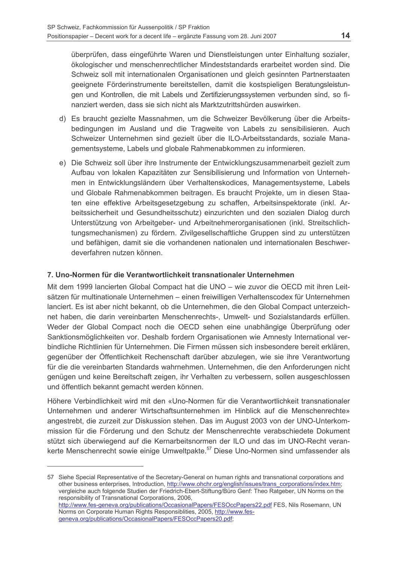überprüfen, dass eingeführte Waren und Dienstleistungen unter Einhaltung sozialer, ökologischer und menschenrechtlicher Mindeststandards erarbeitet worden sind. Die Schweiz soll mit internationalen Organisationen und gleich gesinnten Partnerstaaten geeignete Förderinstrumente bereitstellen, damit die kostspieligen Beratungsleistungen und Kontrollen, die mit Labels und Zertifizierungssystemen verbunden sind, so finanziert werden, dass sie sich nicht als Marktzutrittshürden auswirken.

- d) Es braucht gezielte Massnahmen, um die Schweizer Bevölkerung über die Arbeitsbedingungen im Ausland und die Tragweite von Labels zu sensibilisieren. Auch Schweizer Unternehmen sind gezielt über die ILO-Arbeitsstandards, soziale Managementsysteme, Labels und globale Rahmenabkommen zu informieren.
- e) Die Schweiz soll über ihre Instrumente der Entwicklungszusammenarbeit gezielt zum Aufbau von lokalen Kapazitäten zur Sensibilisierung und Information von Unternehmen in Entwicklungsländern über Verhaltenskodices, Managementsysteme, Labels und Globale Rahmenabkommen beitragen. Es braucht Projekte, um in diesen Staaten eine effektive Arbeitsgesetzgebung zu schaffen, Arbeitsinspektorate (inkl. Arbeitssicherheit und Gesundheitsschutz) einzurichten und den sozialen Dialog durch Unterstützung von Arbeitgeber- und Arbeitnehmerorganisationen (inkl. Streitschlichtungsmechanismen) zu fördern. Zivilgesellschaftliche Gruppen sind zu unterstützen und befähigen, damit sie die vorhandenen nationalen und internationalen Beschwerdeverfahren nutzen können.

## 7. Uno-Normen für die Verantwortlichkeit transnationaler Unternehmen

Mit dem 1999 lancierten Global Compact hat die UNO – wie zuvor die OECD mit ihren Leitsätzen für multinationale Unternehmen - einen freiwilligen Verhaltenscodex für Unternehmen lanciert. Es ist aber nicht bekannt, ob die Unternehmen, die den Global Compact unterzeichnet haben, die darin vereinbarten Menschenrechts-, Umwelt- und Sozialstandards erfüllen. Weder der Global Compact noch die OECD sehen eine unabhängige Überprüfung oder Sanktionsmöglichkeiten vor. Deshalb fordern Organisationen wie Amnesty International verbindliche Richtlinien für Unternehmen. Die Firmen müssen sich insbesondere bereit erklären. gegenüber der Öffentlichkeit Rechenschaft darüber abzulegen, wie sie ihre Verantwortung für die die vereinbarten Standards wahrnehmen. Unternehmen, die den Anforderungen nicht genügen und keine Bereitschaft zeigen, ihr Verhalten zu verbessern, sollen ausgeschlossen und öffentlich bekannt gemacht werden können.

Höhere Verbindlichkeit wird mit den «Uno-Normen für die Verantwortlichkeit transnationaler Unternehmen und anderer Wirtschaftsunternehmen im Hinblick auf die Menschenrechte» angestrebt, die zurzeit zur Diskussion stehen. Das im August 2003 von der UNO-Unterkommission für die Förderung und den Schutz der Menschenrechte verabschiedete Dokument stützt sich überwiegend auf die Kernarbeitsnormen der ILO und das im UNO-Recht verankerte Menschenrecht sowie einige Umweltpakte.<sup>57</sup> Diese Uno-Normen sind umfassender als

<sup>57</sup> Siehe Special Representative of the Secretary-General on human rights and transnational corporations and other business enterprises, Introduction, http://www.ohchr.org/english/issues/trans\_corporations/index.htm; vergleiche auch folgende Studien der Friedrich-Ebert-Stiftung/Büro Genf: Theo Ratgeber, UN Norms on the responsibility of Transnational Corporations, 2006, http://www.fes-geneva.org/publications/OccasionalPapers/FESOccPapers22.pdf FES, Nils Rosemann, UN Norms on Corporate Human Rights Responsibilities, 2005, http://www.fesgeneva.org/publications/OccasionalPapers/FESOccPapers20.pdf;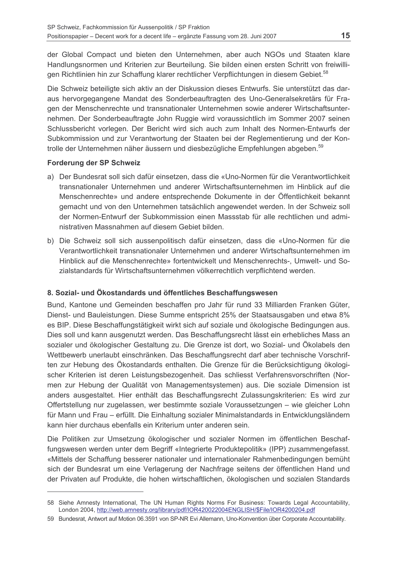der Global Compact und bieten den Unternehmen, aber auch NGOs und Staaten klare Handlungsnormen und Kriterien zur Beurteilung. Sie bilden einen ersten Schritt von freiwilligen Richtlinien hin zur Schaffung klarer rechtlicher Verpflichtungen in diesem Gebiet.<sup>58</sup>

Die Schweiz beteiligte sich aktiv an der Diskussion dieses Entwurfs. Sie unterstützt das daraus hervorgegangene Mandat des Sonderbeauftragten des Uno-Generalsekretärs für Fragen der Menschenrechte und transnationaler Unternehmen sowie anderer Wirtschaftsunternehmen. Der Sonderbeauftragte John Ruggie wird voraussichtlich im Sommer 2007 seinen Schlussbericht vorlegen. Der Bericht wird sich auch zum Inhalt des Normen-Entwurfs der Subkommission und zur Verantwortung der Staaten bei der Reglementierung und der Kontrolle der Unternehmen näher äussern und diesbezügliche Empfehlungen abgeben.<sup>59</sup>

## Forderung der SP Schweiz

- a) Der Bundesrat soll sich dafür einsetzen, dass die «Uno-Normen für die Verantwortlichkeit transnationaler Unternehmen und anderer Wirtschaftsunternehmen im Hinblick auf die Menschenrechte» und andere entsprechende Dokumente in der Öffentlichkeit bekannt gemacht und von den Unternehmen tatsächlich angewendet werden. In der Schweiz soll der Normen-Entwurf der Subkommission einen Massstab für alle rechtlichen und administrativen Massnahmen auf diesem Gebiet bilden
- b) Die Schweiz soll sich aussenpolitisch dafür einsetzen, dass die «Uno-Normen für die Verantwortlichkeit transnationaler Unternehmen und anderer Wirtschaftsunternehmen im Hinblick auf die Menschenrechte» fortentwickelt und Menschenrechts-, Umwelt- und Sozialstandards für Wirtschaftsunternehmen völkerrechtlich verpflichtend werden.

# 8. Sozial- und Ökostandards und öffentliches Beschaffungswesen

Bund. Kantone und Gemeinden beschaffen pro Jahr für rund 33 Milliarden Franken Güter. Dienst- und Bauleistungen. Diese Summe entspricht 25% der Staatsausgaben und etwa 8% es BIP. Diese Beschaffungstätigkeit wirkt sich auf soziale und ökologische Bedingungen aus. Dies soll und kann ausgenutzt werden. Das Beschaffungsrecht lässt ein erhebliches Mass an sozialer und ökologischer Gestaltung zu. Die Grenze ist dort, wo Sozial- und Ökolabels den Wettbewerb unerlaubt einschränken. Das Beschaffungsrecht darf aber technische Vorschriften zur Hebung des Ökostandards enthalten. Die Grenze für die Berücksichtigung ökologischer Kriterien ist deren Leistungsbezogenheit. Das schliesst Verfahrensvorschriften (Normen zur Hebung der Qualität von Managementsystemen) aus. Die soziale Dimension ist anders ausgestaltet. Hier enthält das Beschaffungsrecht Zulassungskriterien: Es wird zur Offertstellung nur zugelassen, wer bestimmte soziale Voraussetzungen – wie gleicher Lohn für Mann und Frau – erfüllt. Die Einhaltung sozialer Minimalstandards in Entwicklungsländern kann hier durchaus ebenfalls ein Kriterium unter anderen sein.

Die Politiken zur Umsetzung ökologischer und sozialer Normen im öffentlichen Beschaffungswesen werden unter dem Begriff «Integrierte Produktepolitik» (IPP) zusammengefasst. «Mittels der Schaffung besserer nationaler und internationaler Rahmenbedingungen bemüht sich der Bundesrat um eine Verlagerung der Nachfrage seitens der öffentlichen Hand und der Privaten auf Produkte, die hohen wirtschaftlichen, ökologischen und sozialen Standards

<sup>58</sup> Siehe Amnesty International, The UN Human Rights Norms For Business: Towards Legal Accountability, London 2004, http://web.amnesty.org/library/pdf/IOR420022004ENGLISH/\$File/IOR4200204.pdf

<sup>59</sup> Bundesrat, Antwort auf Motion 06.3591 von SP-NR Evi Allemann, Uno-Konvention über Corporate Accountability.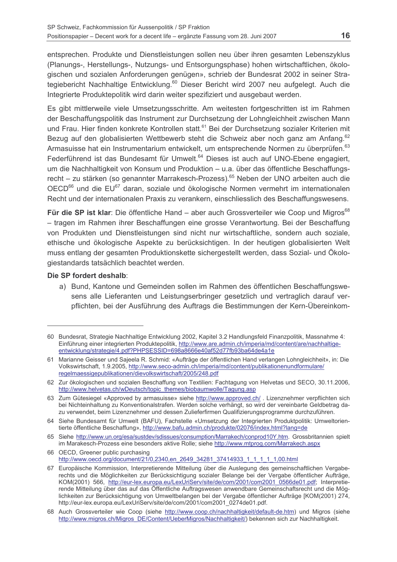entsprechen. Produkte und Dienstleistungen sollen neu über ihren gesamten Lebenszyklus (Planungs-, Herstellungs-, Nutzungs- und Entsorgungsphase) hohen wirtschaftlichen, ökologischen und sozialen Anforderungen genügen», schrieb der Bundesrat 2002 in seiner Strategiebericht Nachhaltige Entwicklung.<sup>60</sup> Dieser Bericht wird 2007 neu aufgelegt. Auch die Integrierte Produktepolitik wird darin weiter spezifiziert und ausgebaut werden.

Es gibt mittlerweile viele Umsetzungsschritte. Am weitesten fortgeschritten ist im Rahmen der Beschaffungspolitik das Instrument zur Durchsetzung der Lohngleichheit zwischen Mann und Frau. Hier finden konkrete Kontrollen statt.<sup>61</sup> Bei der Durchsetzung sozialer Kriterien mit Bezug auf den globalisierten Wettbewerb steht die Schweiz aber noch ganz am Anfang.<sup>62</sup> Armasuisse hat ein Instrumentarium entwickelt, um entsprechende Normen zu überprüfen.<sup>63</sup> Federführend ist das Bundesamt für Umwelt.<sup>64</sup> Dieses ist auch auf UNO-Ebene engagiert. um die Nachhaltigkeit von Konsum und Produktion – u.a. über das öffentliche Beschaffungsrecht – zu stärken (so genannter Marrakesch-Prozess).<sup>65</sup> Neben der UNO arbeiten auch die OECD<sup>66</sup> und die EU<sup>67</sup> daran, soziale und ökologische Normen vermehrt im internationalen Recht und der internationalen Praxis zu verankern, einschliesslich des Beschaffungswesens.

**Für die SP ist klar**: Die öffentliche Hand – aber auch Grossverteiler wie Coop und Migros<sup>68</sup> - tragen im Rahmen ihrer Beschaffungen eine grosse Verantwortung. Bei der Beschaffung von Produkten und Dienstleistungen sind nicht nur wirtschaftliche, sondern auch soziale. ethische und ökologische Aspekte zu berücksichtigen. In der heutigen globalisierten Welt muss entlang der gesamten Produktionskette sichergestellt werden, dass Sozial- und Ökologiestandards tatsächlich beachtet werden.

#### Die SP fordert deshalb:

a) Bund, Kantone und Gemeinden sollen im Rahmen des öffentlichen Beschaffungswesens alle Lieferanten und Leistungserbringer gesetzlich und vertraglich darauf verpflichten, bei der Ausführung des Auftrags die Bestimmungen der Kern-Übereinkom-

<sup>60</sup> Bundesrat, Strategie Nachhaltige Entwicklung 2002, Kapitel 3.2 Handlungsfeld Finanzpolitik, Massnahme 4: Einführung einer integrierten Produktepolitik, http://www.are.admin.ch/imperia/md/content/are/nachhaltigeentwicklung/strategie/4.pdf?PHPSESSID=698a8666e40af52d77fb93ba64de4a1e

<sup>61</sup> Marianne Geisser und Sajeela R. Schmid: «Aufträge der öffentlichen Hand verlangen Lohngleichheit», in: Die Volkswirtschaft, 1.9.2005, http://www.seco-admin.ch/imperia/md/content/publikationenundformulare/ regelmaessigepublikationen/dievolkswirtschaft/2005/248.pdf

<sup>62</sup> Zur ökologischen und sozialen Beschaffung von Textilien: Fachtagung von Helvetas und SECO, 30.11.2006, http://www.helvetas.ch/wDeutsch/topic\_themes/biobaumwolle/Tagung.asp

<sup>63</sup> Zum Gütesiegel «Approved by armasuisse» siehe http://www.approved.ch/. Lizenznehmer verpflichten sich bei Nichteinhaltung zu Konventionalstrafen. Werden solche verhängt, so wird der vereinbarte Geldbetrag dazu verwendet, beim Lizenznehmer und dessen Zulieferfirmen Qualifizierungsprogramme durchzuführen.

<sup>64</sup> Siehe Bundesamt für Umwelt (BAFU). Fachstelle «Umsetzung der Integrierten Produktpolitik: Umweltorientierte öffentliche Beschaffung», http://www.bafu.admin.ch/produkte/02076/index.html?lang=de

<sup>65</sup> Siehe http://www.un.org/esa/sustdev/sdissues/consumption/Marrakech/conprod10Y.htm. Grossbritannien spielt im Marakesch-Prozess eine besonders aktive Rolle; siehe http://www.mtprog.com/Marrakech.aspx

<sup>66</sup> OECD. Greener public purchasing http://www.oecd.org/document/21/0.2340.en 2649 34281 37414933 1 1 1 1 1.00.html

<sup>67</sup> Europäische Kommission, Interpretierende Mitteilung über die Auslegung des gemeinschaftlichen Vergaberechts und die Möglichkeiten zur Berücksichtigung sozialer Belange bei der Vergabe öffentlicher Aufträge, KOM(2001) 566, http://eur-lex.europa.eu/LexUriServ/site/de/com/2001/com2001 0566de01.pdf; Interpretierende Mitteilung über das auf das Öffentliche Auftragswesen anwendbare Gemeinschaftsrecht und die Möglichkeiten zur Berücksichtigung von Umweltbelangen bei der Vergabe öffentlicher Aufträge [KOM(2001) 274, http://eur-lex.europa.eu/LexUriServ/site/de/com/2001/com2001\_0274de01.pdf.

<sup>68</sup> Auch Grossverteiler wie Coop (siehe http://www.coop.ch/nachhaltigkeit/default-de.htm) und Migros (siehe http://www.migros.ch/Migros\_DE/Content/UeberMigros/Nachhaltigkeit/) bekennen sich zur Nachhaltigkeit.